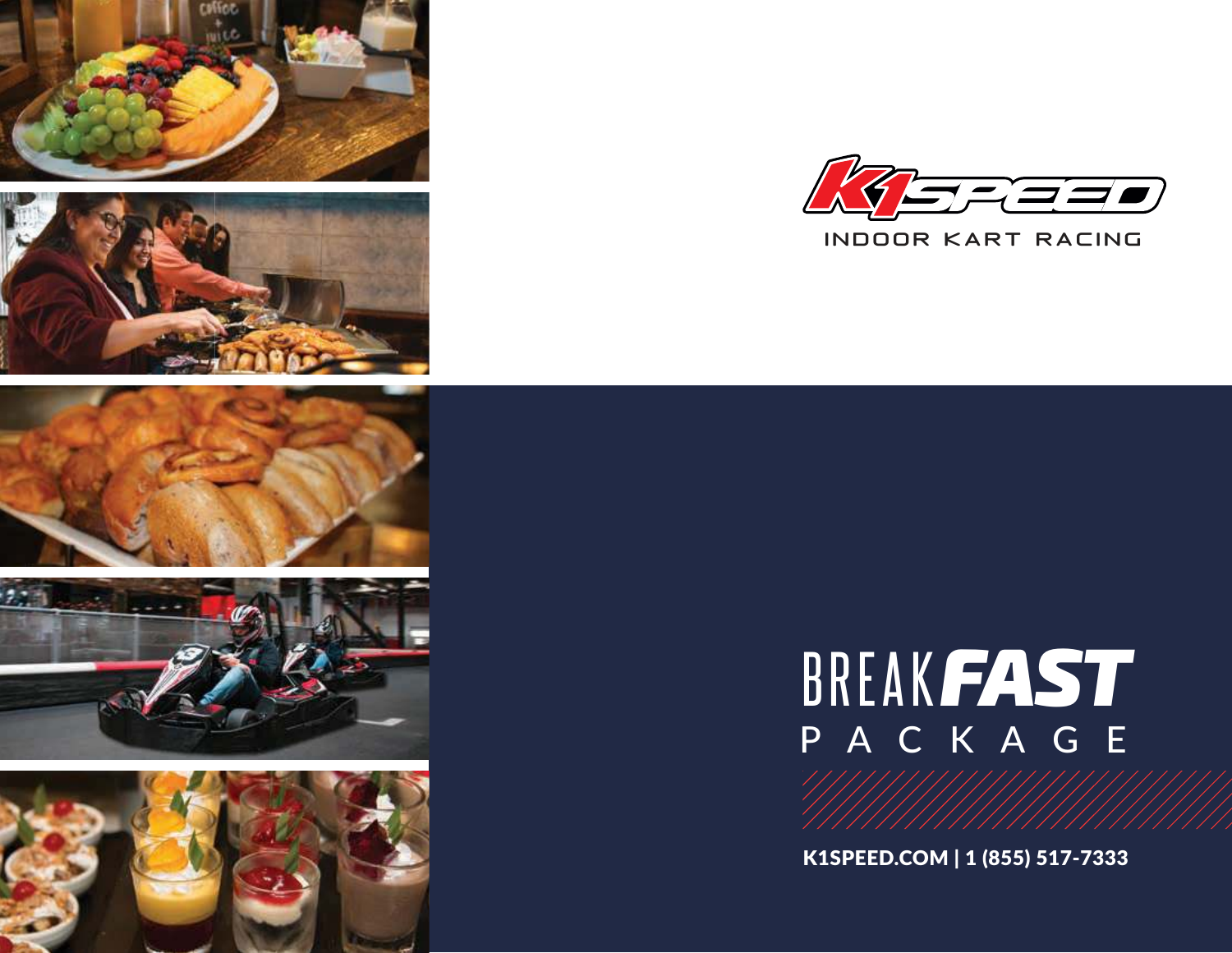











### BREAK*FAST* PACKAGE

K1SPEED.COM | 1 (855) 517-7333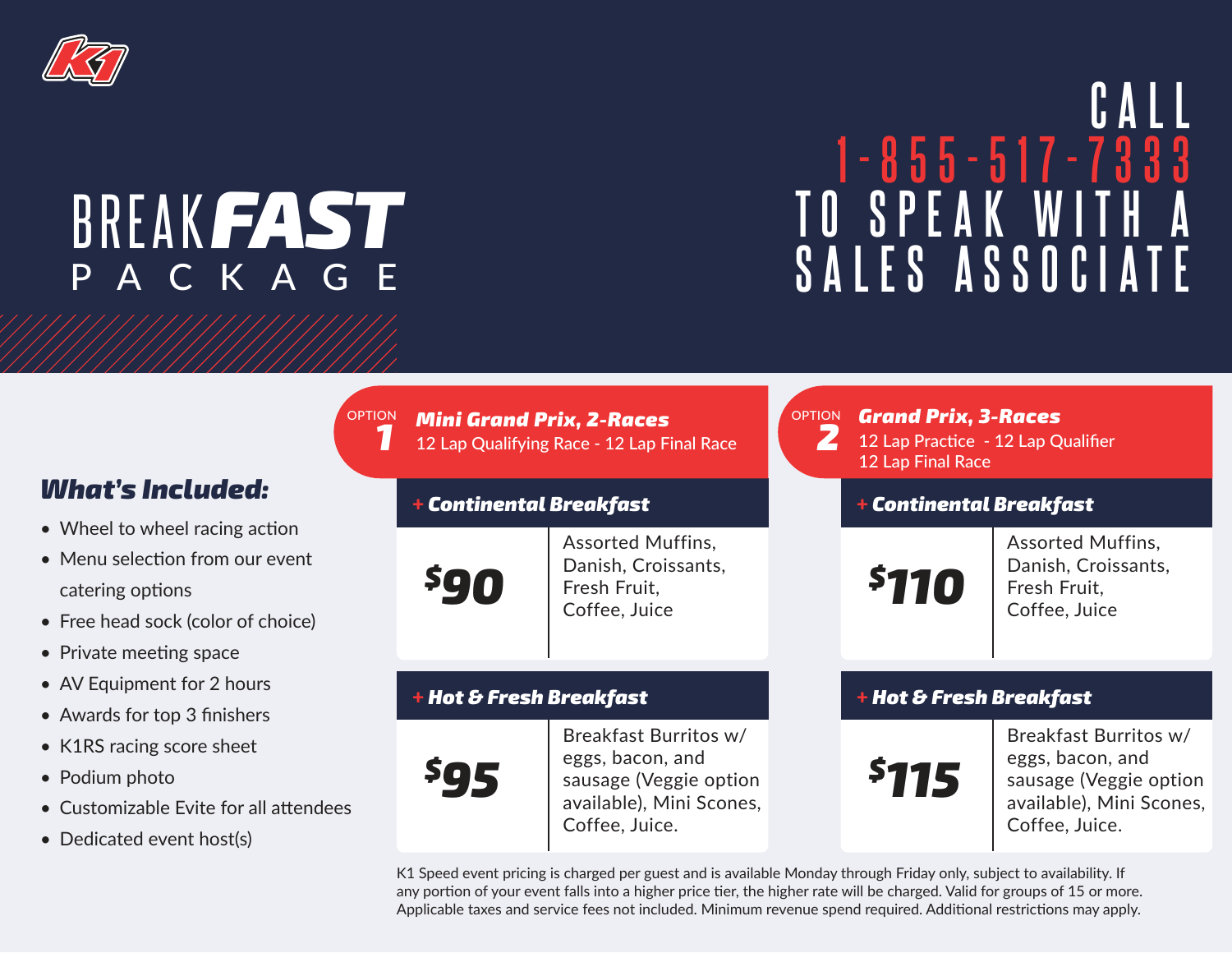

# PACKAGE

## **CALL 1-855-517-7333 T O SPEAK WITH A REAK FAST**<br>
P A C K A G E SALES ASSOCIATE

### *What's Included:*

- Wheel to wheel racing action
- Menu selection from our event catering options
- Free head sock (color of choice)
- Private meeting space
- AV Equipment for 2 hours
- Awards for top 3 finishers
- K1RS racing score sheet
- Podium photo
- Customizable Evite for all attendees
- Dedicated event host(s)

| OPTION Mini Grand Prix, 2-Races            | OPTION |
|--------------------------------------------|--------|
| 12 Lap Qualifying Race - 12 Lap Final Race |        |

#### + *Continental Breakfast*



Assorted Muffins, Danish, Croissants, Fresh Fruit, Coffee, Juice

#### + *Hot & Fresh Breakfast*



Breakfast Burritos w/ eggs, bacon, and sausage (Veggie option available), Mini Scones, Coffee, Juice.

*Mini Grand Prix, 2-Races Grand Prix, 3-Races* 12 Lap Practice - 12 Lap Qualifier 12 Lap Final Race

#### + *Continental Breakfast*

*\$110*

Assorted Muffins, Danish, Croissants, Fresh Fruit, Coffee, Juice

#### + *Hot & Fresh Breakfast*



Breakfast Burritos w/ eggs, bacon, and sausage (Veggie option available), Mini Scones, Coffee, Juice.

K1 Speed event pricing is charged per guest and is available Monday through Friday only, subject to availability. If any portion of your event falls into a higher price tier, the higher rate will be charged. Valid for groups of 15 or more. Applicable taxes and service fees not included. Minimum revenue spend required. Additional restrictions may apply.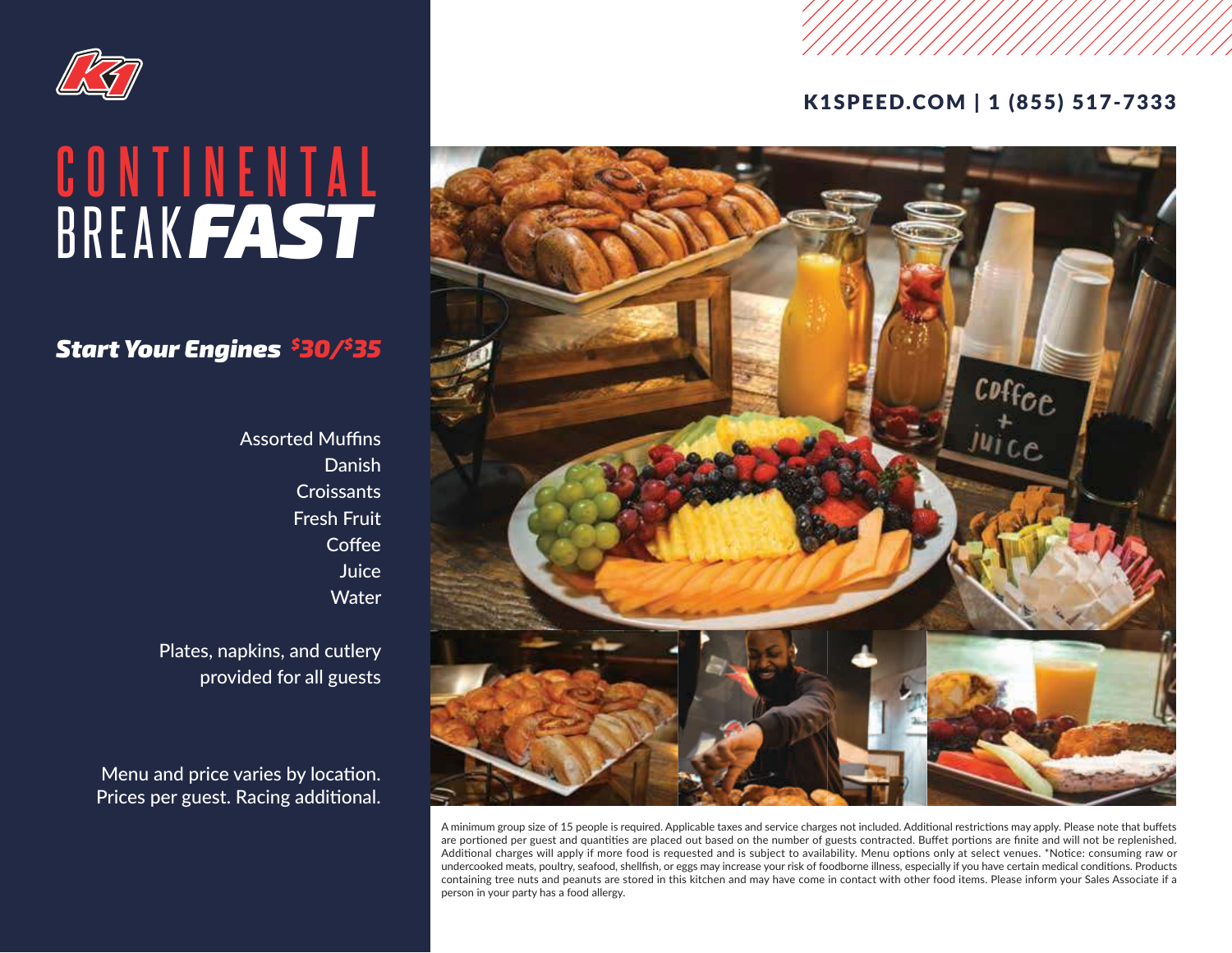

### BREAK*FAST* **CONTINENTAL**

#### *Start Your Engines \$30/\$35*

**Assorted Muffins** Danish **Croissants** Fresh Fruit **Coffee** Juice **Water** 

Plates, napkins, and cutlery provided for all guests

Menu and price varies by location. Prices per guest. Racing additional.

#### K1SPEED.COM | 1 (855) 517-7333



A minimum group size of 15 people is required. Applicable taxes and service charges not included. Additional restrictions may apply. Please note that buffets are portioned per guest and quantities are placed out based on the number of guests contracted. Buffet portions are finite and will not be replenished. Additional charges will apply if more food is requested and is subject to availability. Menu options only at select venues. \*Notice: consuming raw or undercooked meats, poultry, seafood, shellfish, or eggs may increase your risk of foodborne illness, especially if you have certain medical conditions. Products containing tree nuts and peanuts are stored in this kitchen and may have come in contact with other food items. Please inform your Sales Associate if a person in your party has a food allergy.